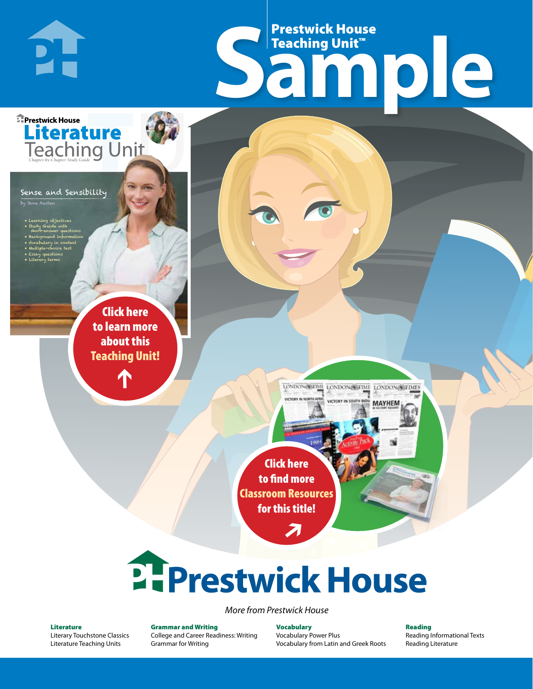# Frestwick House<br>
Sample **Prestwick House**<br>Teaching Unit<sup>\*\*</sup> Teaching Unit™

LONDON-SCITME LONDON/SCITME LONDON/SCITMES

MAYHEM

Sense and Sensibility

**DI-**

**E** Prestwick House

**Literature** 

**A Tale of Two Cities**

by Jane Austen

- Learning objectives • Study Guide with short-answer questions • Background information • Vocabulary in context
- Multiple-choice test • Essay questions

CHARLES DICKENS

• Literary terms

r e o r d e r n o . x x x x x x Click here to learn more about this [Teaching Unit!](https://www.prestwickhouse.com/pdf/id-200670/Separate_Peace_A_-_Downloadable_Teaching_Unit)

 $\mathbf{T}$ 

1

Click here to find more [Classroom Resources](http://teaching-english.prestwickhouse.com/search#w=a%20separate%20peace)  for this title!

 $\overline{\boldsymbol{\lambda}}$ 

# **2. Prestwick House**

*More from Prestwick House*

#### Literature

[Literary Touchstone Classics](https://www.prestwickhouse.com/literary-touchstone-classics) [Literature Teaching Units](https://www.prestwickhouse.com/teaching-units)

Grammar and Writing [College and Career Readiness: Writing](https://www.prestwickhouse.com/college-and-career-readiness-writing) [Grammar for Writing](https://www.prestwickhouse.com/book/id-302639/Grammar_for_Writing_-_30_Books_and_Teachers_Edition)

**Vocabulary** [Vocabulary Power Plus](https://www.prestwickhouse.com/vocabulary-power-plus-for-college-and-career-readiness) [Vocabulary from Latin and Greek Roots](https://www.prestwickhouse.com/vocabulary-from-latin-and-greek-roots) Reading

[Reading Informational Texts](https://www.prestwickhouse.com/reading-informational-texts) [Reading Literature](https://www.prestwickhouse.com/reading-literature)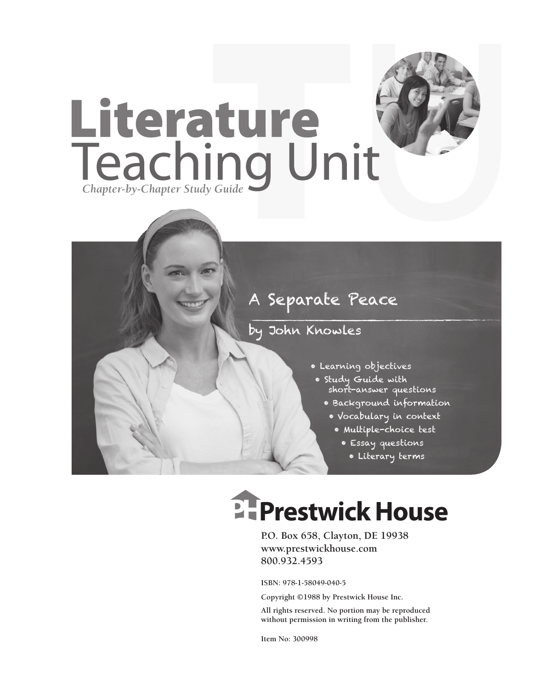

### by John Knowles

- Learning objectives
- Study Guide with short-answer questions
	- Background information
		- Vocabulary in context
			- Multiple-choice test
				- Essay questions
					- Literary terms

# **EFPrestwick House**

**P.O. Box 658, Clayton, DE 19938 www.prestwickhouse.com 800.932.4593**

**ISBN: 978-1-58049-040-5**

**Copyright ©1988 by Prestwick House Inc.**

**All rights reserved. No portion may be reproduced without permission in writing from the publisher.** 

**Item No: 300998**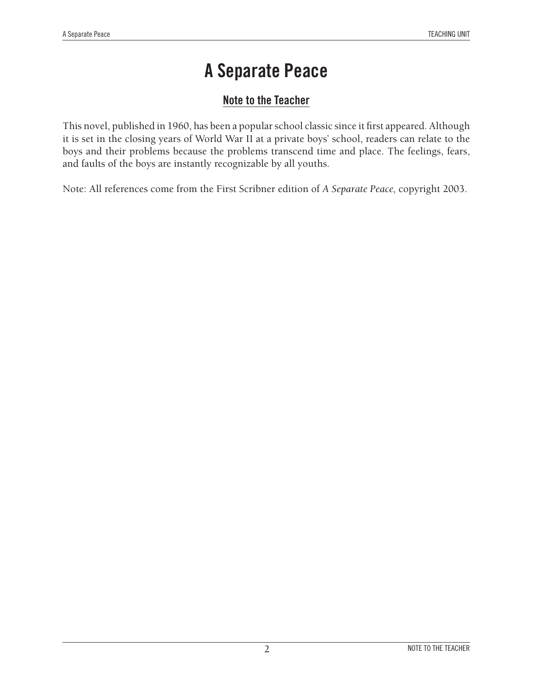#### **Note to the Teacher**

This novel, published in 1960, has been a popular school classic since it first appeared. Although it is set in the closing years of World War II at a private boys' school, readers can relate to the boys and their problems because the problems transcend time and place. The feelings, fears, and faults of the boys are instantly recognizable by all youths.

Note: All references come from the First Scribner edition of *A Separate Peace,* copyright 2003.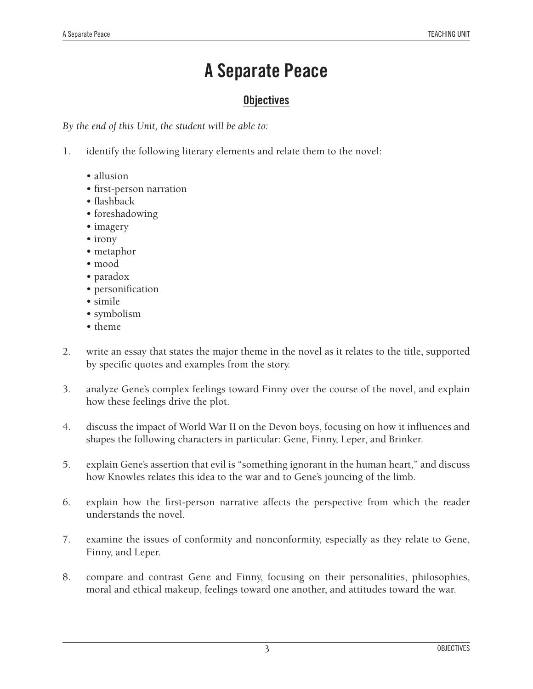#### **Objectives**

*By the end of this Unit, the student will be able to:*

- 1. identify the following literary elements and relate them to the novel:
	- allusion
	- first-person narration
	- flashback
	- foreshadowing
	- imagery
	- irony
	- metaphor
	- mood
	- paradox
	- personification
	- simile
	- symbolism
	- theme
- 2. write an essay that states the major theme in the novel as it relates to the title, supported by specific quotes and examples from the story.
- 3. analyze Gene's complex feelings toward Finny over the course of the novel, and explain how these feelings drive the plot.
- 4. discuss the impact of World War II on the Devon boys, focusing on how it influences and shapes the following characters in particular: Gene, Finny, Leper, and Brinker.
- 5. explain Gene's assertion that evil is "something ignorant in the human heart," and discuss how Knowles relates this idea to the war and to Gene's jouncing of the limb.
- 6. explain how the first-person narrative affects the perspective from which the reader understands the novel.
- 7. examine the issues of conformity and nonconformity, especially as they relate to Gene, Finny, and Leper.
- 8. compare and contrast Gene and Finny, focusing on their personalities, philosophies, moral and ethical makeup, feelings toward one another, and attitudes toward the war.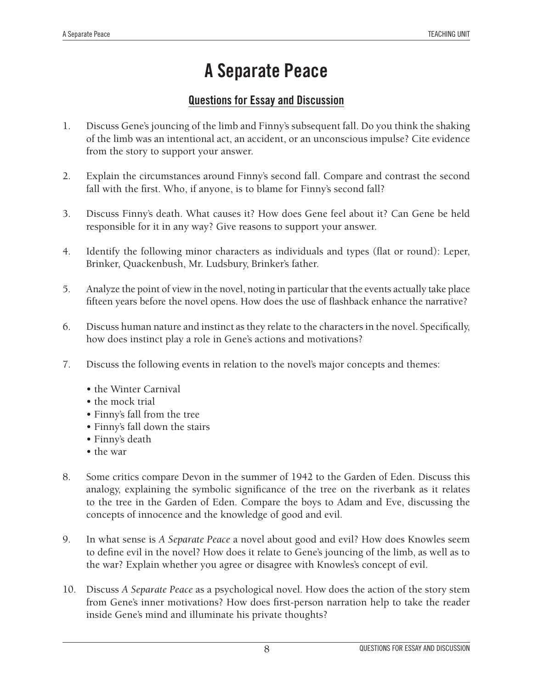#### **Questions for Essay and Discussion**

- 1. Discuss Gene's jouncing of the limb and Finny's subsequent fall. Do you think the shaking of the limb was an intentional act, an accident, or an unconscious impulse? Cite evidence from the story to support your answer.
- 2. Explain the circumstances around Finny's second fall. Compare and contrast the second fall with the first. Who, if anyone, is to blame for Finny's second fall?
- 3. Discuss Finny's death. What causes it? How does Gene feel about it? Can Gene be held responsible for it in any way? Give reasons to support your answer.
- 4. Identify the following minor characters as individuals and types (flat or round): Leper, Brinker, Quackenbush, Mr. Ludsbury, Brinker's father.
- 5. Analyze the point of view in the novel, noting in particular that the events actually take place fifteen years before the novel opens. How does the use of flashback enhance the narrative?
- 6. Discuss human nature and instinct as they relate to the characters in the novel. Specifically, how does instinct play a role in Gene's actions and motivations?
- 7. Discuss the following events in relation to the novel's major concepts and themes:
	- the Winter Carnival
	- the mock trial
	- Finny's fall from the tree
	- Finny's fall down the stairs
	- Finny's death
	- the war
- 8. Some critics compare Devon in the summer of 1942 to the Garden of Eden. Discuss this analogy, explaining the symbolic significance of the tree on the riverbank as it relates to the tree in the Garden of Eden. Compare the boys to Adam and Eve, discussing the concepts of innocence and the knowledge of good and evil.
- 9. In what sense is *A Separate Peace* a novel about good and evil? How does Knowles seem to define evil in the novel? How does it relate to Gene's jouncing of the limb, as well as to the war? Explain whether you agree or disagree with Knowles's concept of evil.
- 10. Discuss *A Separate Peace* as a psychological novel. How does the action of the story stem from Gene's inner motivations? How does first-person narration help to take the reader inside Gene's mind and illuminate his private thoughts?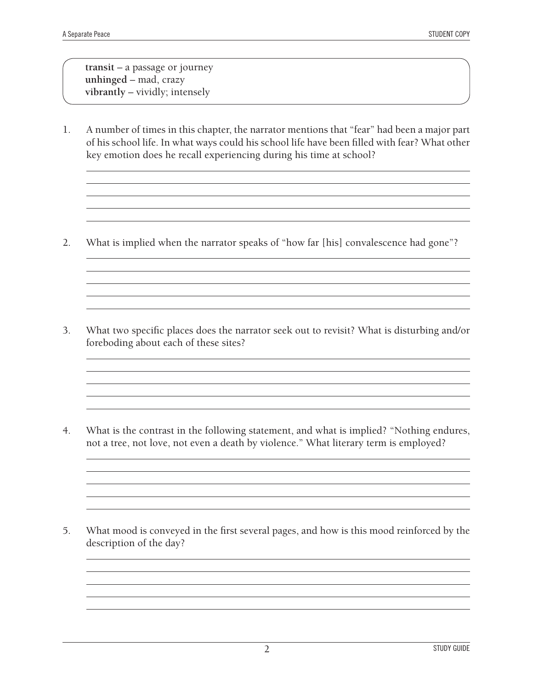**transit** – a passage or journey **unhinged** – mad, crazy **vibrantly** – vividly; intensely

1. A number of times in this chapter, the narrator mentions that "fear" had been a major part of his school life. In what ways could his school life have been filled with fear? What other key emotion does he recall experiencing during his time at school?

<u> 1989 - Johann Barn, amerikansk politiker (d. 1989)</u>

2. What is implied when the narrator speaks of "how far [his] convalescence had gone"?

3. What two specific places does the narrator seek out to revisit? What is disturbing and/or foreboding about each of these sites?

4. What is the contrast in the following statement, and what is implied? "Nothing endures, not a tree, not love, not even a death by violence." What literary term is employed?

<u> 1989 - Johann Stoff, amerikansk politiker (\* 1908)</u>

5. What mood is conveyed in the first several pages, and how is this mood reinforced by the description of the day?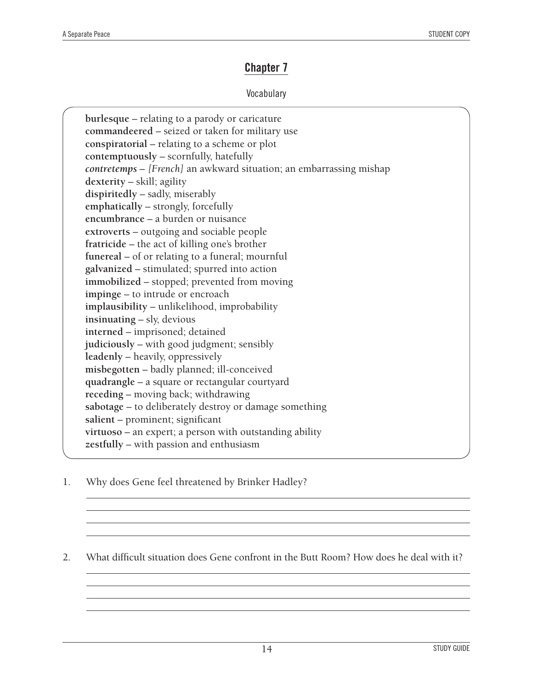#### **Chapter 7**

#### Vocabulary

| burlesque - relating to a parody or caricature                      |
|---------------------------------------------------------------------|
| commandeered - seized or taken for military use                     |
| conspiratorial – relating to a scheme or plot                       |
| contemptuously - scornfully, hatefully                              |
| contretemps - [French] an awkward situation; an embarrassing mishap |
| dexterity - skill; agility                                          |
| dispiritedly - sadly, miserably                                     |
| emphatically - strongly, forcefully                                 |
| encumbrance - a burden or nuisance                                  |
| extroverts – outgoing and sociable people                           |
| fratricide – the act of killing one's brother                       |
| funereal - of or relating to a funeral; mournful                    |
| galvanized - stimulated; spurred into action                        |
| immobilized - stopped; prevented from moving                        |
| impinge - to intrude or encroach                                    |
| implausibility - unlikelihood, improbability                        |
| insinuating - sly, devious                                          |
| interned - imprisoned; detained                                     |
| judiciously – with good judgment; sensibly                          |
| leadenly – heavily, oppressively                                    |
| misbegotten - badly planned; ill-conceived                          |
| quadrangle - a square or rectangular courtyard                      |
| receding - moving back; withdrawing                                 |
| sabotage – to deliberately destroy or damage something              |
| salient - prominent; significant                                    |
| virtuoso - an expert; a person with outstanding ability             |
| zestfully – with passion and enthusiasm                             |
|                                                                     |

1. Why does Gene feel threatened by Brinker Hadley?

2. What difficult situation does Gene confront in the Butt Room? How does he deal with it?